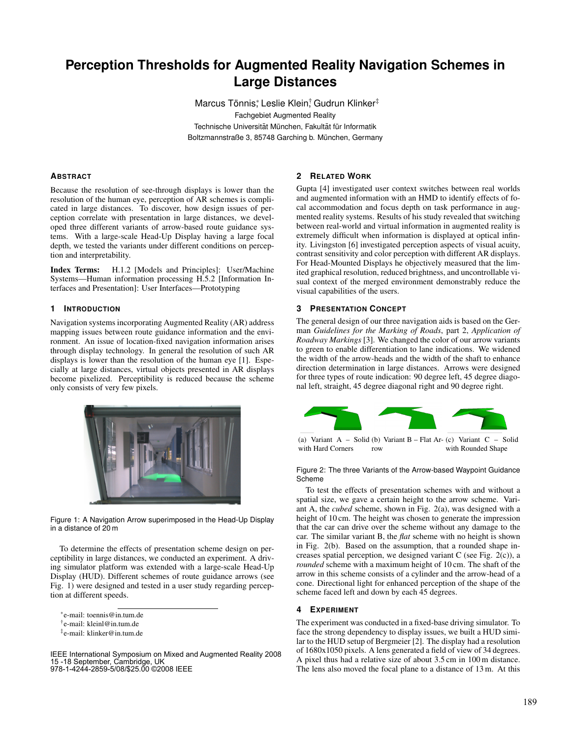# **Perception Thresholds for Augmented Reality Navigation Schemes in Large Distances**

Marcus Tönnis; Leslie Klein; Gudrun Klinker<sup>‡</sup> Fachgebiet Augmented Reality Technische Universität München, Fakultät für Informatik Boltzmannstraße 3, 85748 Garching b. München, Germany

# **ABSTRACT**

Because the resolution of see-through displays is lower than the resolution of the human eye, perception of AR schemes is complicated in large distances. To discover, how design issues of perception correlate with presentation in large distances, we developed three different variants of arrow-based route guidance systems. With a large-scale Head-Up Display having a large focal depth, we tested the variants under different conditions on perception and interpretability.

Index Terms: H.1.2 [Models and Principles]: User/Machine Systems—Human information processing H.5.2 [Information Interfaces and Presentation]: User Interfaces—Prototyping

#### **1 INTRODUCTION**

Navigation systems incorporating Augmented Reality (AR) address mapping issues between route guidance information and the environment. An issue of location-fixed navigation information arises through display technology. In general the resolution of such AR displays is lower than the resolution of the human eye [1]. Especially at large distances, virtual objects presented in AR displays become pixelized. Perceptibility is reduced because the scheme only consists of very few pixels.



Figure 1: A Navigation Arrow superimposed in the Head-Up Display in a distance of 20 m

To determine the effects of presentation scheme design on perceptibility in large distances, we conducted an experiment. A driving simulator platform was extended with a large-scale Head-Up Display (HUD). Different schemes of route guidance arrows (see Fig. 1) were designed and tested in a user study regarding perception at different speeds.

IEEE International Symposium on Mixed and Augmented Reality 2008 15 -18 September, Cambridge, UK 978-1-4244-2859-5/08/\$25.00 ©2008 IEEE

## **2 RELATED WORK**

Gupta [4] investigated user context switches between real worlds and augmented information with an HMD to identify effects of focal accommodation and focus depth on task performance in augmented reality systems. Results of his study revealed that switching between real-world and virtual information in augmented reality is extremely difficult when information is displayed at optical infinity. Livingston [6] investigated perception aspects of visual acuity, contrast sensitivity and color perception with different AR displays. For Head-Mounted Displays he objectively measured that the limited graphical resolution, reduced brightness, and uncontrollable visual context of the merged environment demonstrably reduce the visual capabilities of the users.

# **3 PRESENTATION CONCEPT**

The general design of our three navigation aids is based on the German *Guidelines for the Marking of Roads*, part 2, *Application of Roadway Markings* [3]. We changed the color of our arrow variants to green to enable differentiation to lane indications. We widened the width of the arrow-heads and the width of the shaft to enhance direction determination in large distances. Arrows were designed for three types of route indication: 90 degree left, 45 degree diagonal left, straight, 45 degree diagonal right and 90 degree right.



(a) Variant A – Solid (b) Variant B – Flat Ar-(c) Variant C – Solid with Hard Corners row with Rounded Shape

Figure 2: The three Variants of the Arrow-based Waypoint Guidance **Scheme** 

To test the effects of presentation schemes with and without a spatial size, we gave a certain height to the arrow scheme. Variant A, the *cubed* scheme, shown in Fig. 2(a), was designed with a height of 10 cm. The height was chosen to generate the impression that the car can drive over the scheme without any damage to the car. The similar variant B, the *flat* scheme with no height is shown in Fig. 2(b). Based on the assumption, that a rounded shape increases spatial perception, we designed variant C (see Fig. 2(c)), a *rounded* scheme with a maximum height of 10 cm. The shaft of the arrow in this scheme consists of a cylinder and the arrow-head of a cone. Directional light for enhanced perception of the shape of the scheme faced left and down by each 45 degrees.

## **4 EXPERIMENT**

The experiment was conducted in a fixed-base driving simulator. To face the strong dependency to display issues, we built a HUD similar to the HUD setup of Bergmeier [2]. The display had a resolution of 1680x1050 pixels. A lens generated a field of view of 34 degrees. A pixel thus had a relative size of about 3.5 cm in 100 m distance. The lens also moved the focal plane to a distance of 13 m. At this

<sup>∗</sup> e-mail: toennis@in.tum.de

<sup>†</sup> e-mail: kleinl@in.tum.de

<sup>‡</sup> e-mail: klinker@in.tum.de